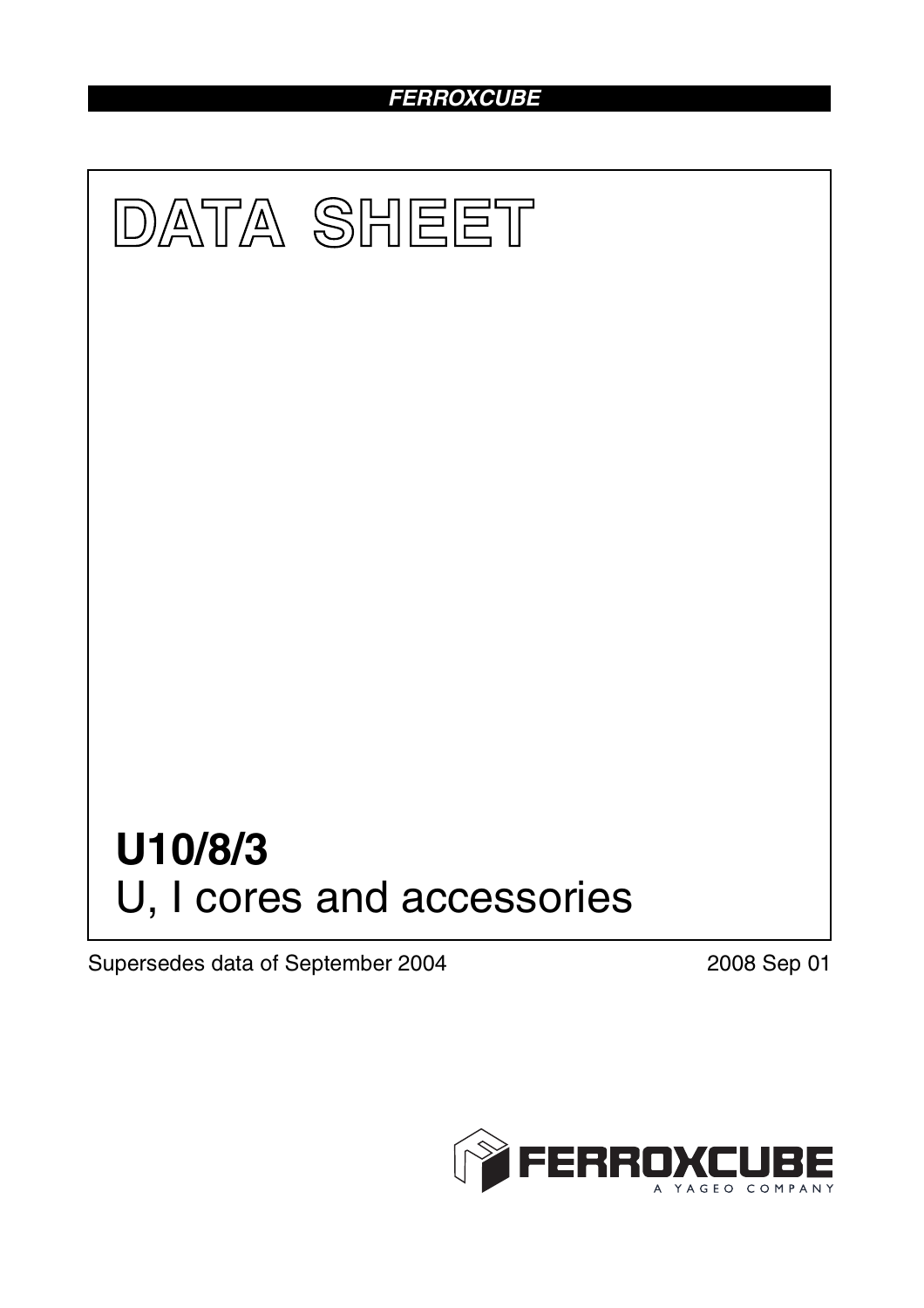## *FERROXCUBE*



Supersedes data of September 2004 2008 Sep 01

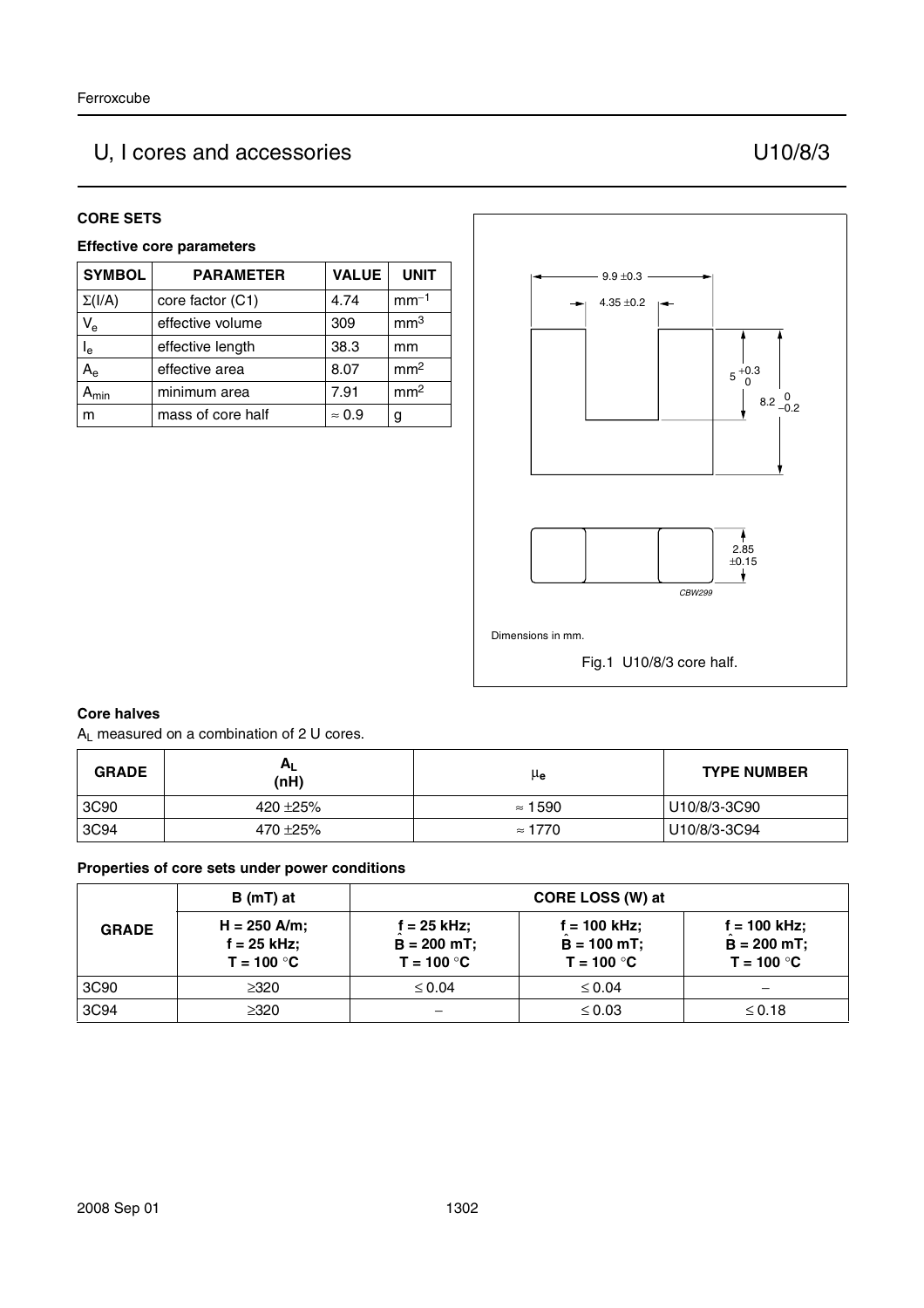# U, I cores and accessories U10/8/3

#### **CORE SETS**

#### **Effective core parameters**

| <b>SYMBOL</b> | <b>PARAMETER</b>  | <b>VALUE</b>  | <b>UNIT</b>     |
|---------------|-------------------|---------------|-----------------|
| $\Sigma(I/A)$ | core factor (C1)  | 4.74          | $mm-1$          |
| $V_{e}$       | effective volume  | 309           | mm <sup>3</sup> |
| $I_e$         | effective length  | 38.3          | mm              |
| $A_{\rm e}$   | effective area    | 8.07          | mm <sup>2</sup> |
| <b>A</b> min  | minimum area      | 7.91          | mm <sup>2</sup> |
| m             | mass of core half | $\approx 0.9$ | g               |



#### **Core halves**

AL measured on a combination of 2 U cores.

| <b>GRADE</b> | $A_L$<br>(nH) | μ <sub>e</sub> | <b>TYPE NUMBER</b> |
|--------------|---------------|----------------|--------------------|
| 3C90         | 420 ± 25%     | $\approx 1590$ | U10/8/3-3C90       |
| 3C94         | 470 ±25%      | $\approx 1770$ | U10/8/3-3C94       |

#### **Properties of core sets under power conditions**

| <b>GRADE</b> | B (mT) at                                     |                                               | CORE LOSS (W) at                                |                                                 |
|--------------|-----------------------------------------------|-----------------------------------------------|-------------------------------------------------|-------------------------------------------------|
|              | $H = 250$ A/m;<br>f = 25 kHz;<br>$T = 100 °C$ | f = 25 kHz:<br>$B = 200 mT$ ;<br>$T = 100 °C$ | $f = 100$ kHz;<br>$B = 100$ mT;<br>$T = 100 °C$ | $f = 100$ kHz;<br>$B = 200$ mT;<br>$T = 100 °C$ |
| 3C90         | $\geq 320$                                    | $\leq 0.04$                                   | $\leq 0.04$                                     |                                                 |
| 3C94         | $\geq 320$                                    |                                               | $\leq 0.03$                                     | $\leq$ 0.18                                     |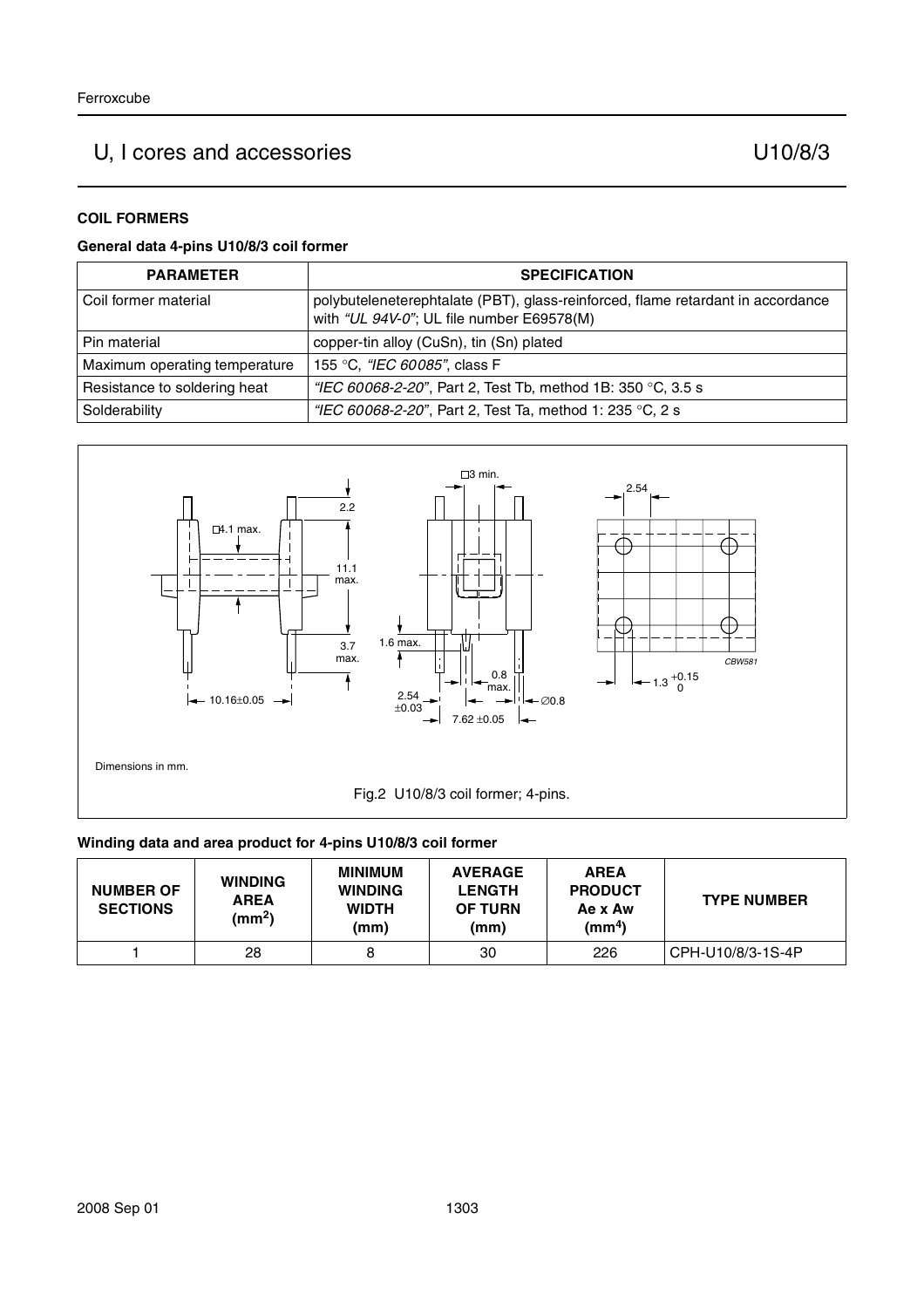# U, I cores and accessories U10/8/3

#### **COIL FORMERS**

#### **General data 4-pins U10/8/3 coil former**

| <b>PARAMETER</b>              | <b>SPECIFICATION</b>                                                                                                         |
|-------------------------------|------------------------------------------------------------------------------------------------------------------------------|
| Coil former material          | polybuteleneterephtalate (PBT), glass-reinforced, flame retardant in accordance<br>with "UL 94V-0"; UL file number E69578(M) |
| Pin material                  | copper-tin alloy (CuSn), tin (Sn) plated                                                                                     |
| Maximum operating temperature | 155 °C, "IEC 60085", class F                                                                                                 |
| Resistance to soldering heat  | "IEC 60068-2-20", Part 2, Test Tb, method 1B: 350 °C, 3.5 s                                                                  |
| Solderability                 | "IEC 60068-2-20", Part 2, Test Ta, method 1: 235 °C, 2 s                                                                     |



#### **Winding data and area product for 4-pins U10/8/3 coil former**

| <b>NUMBER OF</b><br><b>SECTIONS</b> | <b>WINDING</b><br><b>AREA</b><br>(mm <sup>2</sup> ) | <b>MINIMUM</b><br><b>WINDING</b><br><b>WIDTH</b><br>(mm) | <b>AVERAGE</b><br><b>LENGTH</b><br><b>OF TURN</b><br>(mm) | <b>AREA</b><br><b>PRODUCT</b><br>Ae x Aw<br>(mm <sup>4</sup> ) | <b>TYPE NUMBER</b> |
|-------------------------------------|-----------------------------------------------------|----------------------------------------------------------|-----------------------------------------------------------|----------------------------------------------------------------|--------------------|
|                                     | 28                                                  | 8                                                        | 30                                                        | 226                                                            | CPH-U10/8/3-1S-4P  |